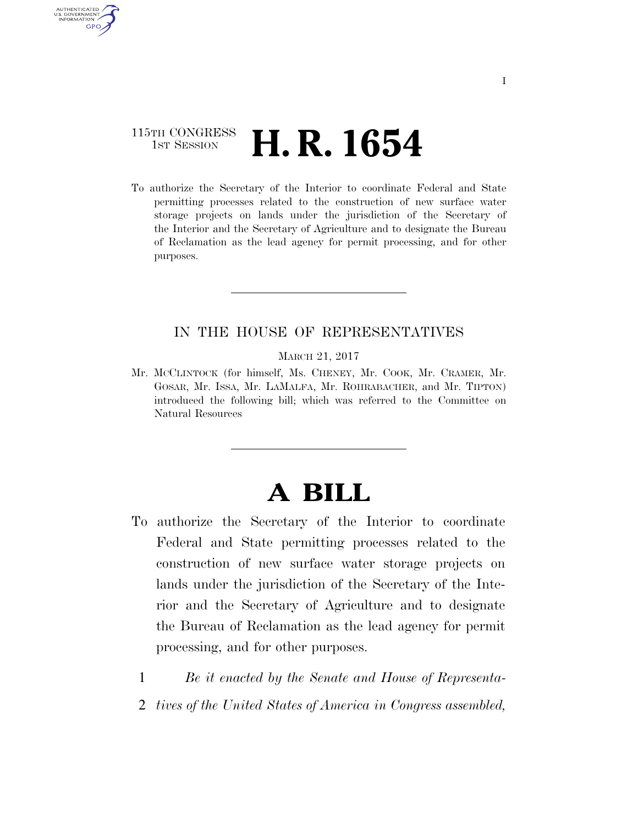# 115TH CONGRESS **1st Session H. R. 1654**

**AUTHENTICAT** U.S. GOVERNMENT GPO

> To authorize the Secretary of the Interior to coordinate Federal and State permitting processes related to the construction of new surface water storage projects on lands under the jurisdiction of the Secretary of the Interior and the Secretary of Agriculture and to designate the Bureau of Reclamation as the lead agency for permit processing, and for other purposes.

### IN THE HOUSE OF REPRESENTATIVES

MARCH 21, 2017

Mr. MCCLINTOCK (for himself, Ms. CHENEY, Mr. COOK, Mr. CRAMER, Mr. GOSAR, Mr. ISSA, Mr. LAMALFA, Mr. ROHRABACHER, and Mr. TIPTON) introduced the following bill; which was referred to the Committee on Natural Resources

# **A BILL**

- To authorize the Secretary of the Interior to coordinate Federal and State permitting processes related to the construction of new surface water storage projects on lands under the jurisdiction of the Secretary of the Interior and the Secretary of Agriculture and to designate the Bureau of Reclamation as the lead agency for permit processing, and for other purposes.
	- 1 *Be it enacted by the Senate and House of Representa-*
	- 2 *tives of the United States of America in Congress assembled,*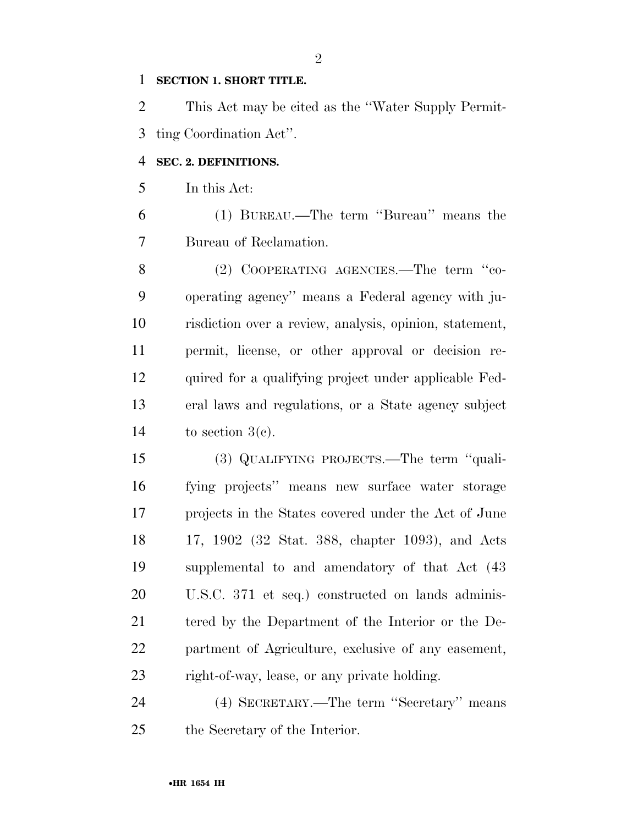#### **SECTION 1. SHORT TITLE.**

 This Act may be cited as the ''Water Supply Permit-ting Coordination Act''.

## **SEC. 2. DEFINITIONS.**

In this Act:

 (1) BUREAU.—The term ''Bureau'' means the Bureau of Reclamation.

8 (2) COOPERATING AGENCIES.—The term "co- operating agency'' means a Federal agency with ju- risdiction over a review, analysis, opinion, statement, permit, license, or other approval or decision re- quired for a qualifying project under applicable Fed- eral laws and regulations, or a State agency subject 14 to section  $3(c)$ .

 (3) QUALIFYING PROJECTS.—The term ''quali- fying projects'' means new surface water storage projects in the States covered under the Act of June 17, 1902 (32 Stat. 388, chapter 1093), and Acts supplemental to and amendatory of that Act (43 U.S.C. 371 et seq.) constructed on lands adminis- tered by the Department of the Interior or the De- partment of Agriculture, exclusive of any easement, right-of-way, lease, or any private holding.

 (4) SECRETARY.—The term ''Secretary'' means the Secretary of the Interior.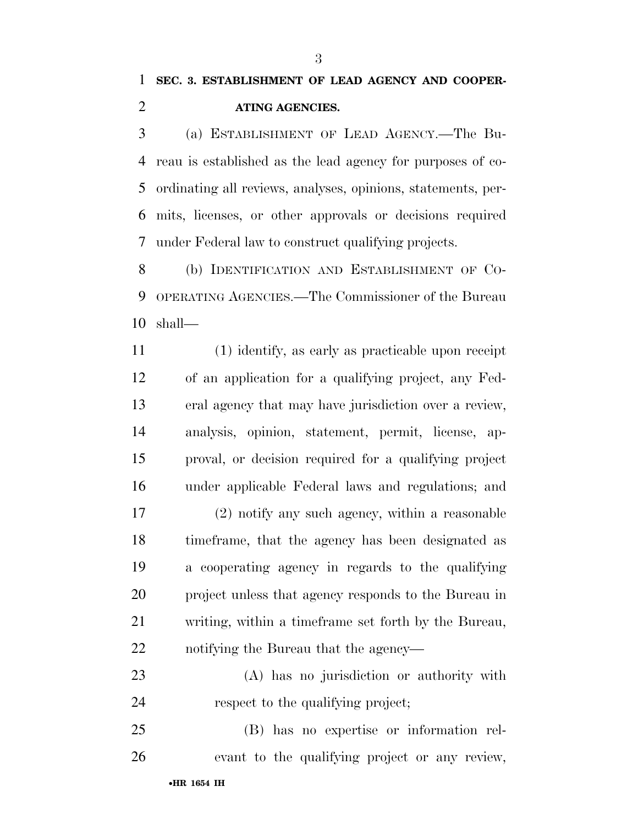(a) ESTABLISHMENT OF LEAD AGENCY.—The Bu- reau is established as the lead agency for purposes of co- ordinating all reviews, analyses, opinions, statements, per- mits, licenses, or other approvals or decisions required under Federal law to construct qualifying projects.

 (b) IDENTIFICATION AND ESTABLISHMENT OF CO- OPERATING AGENCIES.—The Commissioner of the Bureau shall—

 (1) identify, as early as practicable upon receipt of an application for a qualifying project, any Fed- eral agency that may have jurisdiction over a review, analysis, opinion, statement, permit, license, ap- proval, or decision required for a qualifying project under applicable Federal laws and regulations; and

 (2) notify any such agency, within a reasonable timeframe, that the agency has been designated as a cooperating agency in regards to the qualifying project unless that agency responds to the Bureau in writing, within a timeframe set forth by the Bureau, notifying the Bureau that the agency—

 (A) has no jurisdiction or authority with 24 respect to the qualifying project;

 (B) has no expertise or information rel-evant to the qualifying project or any review,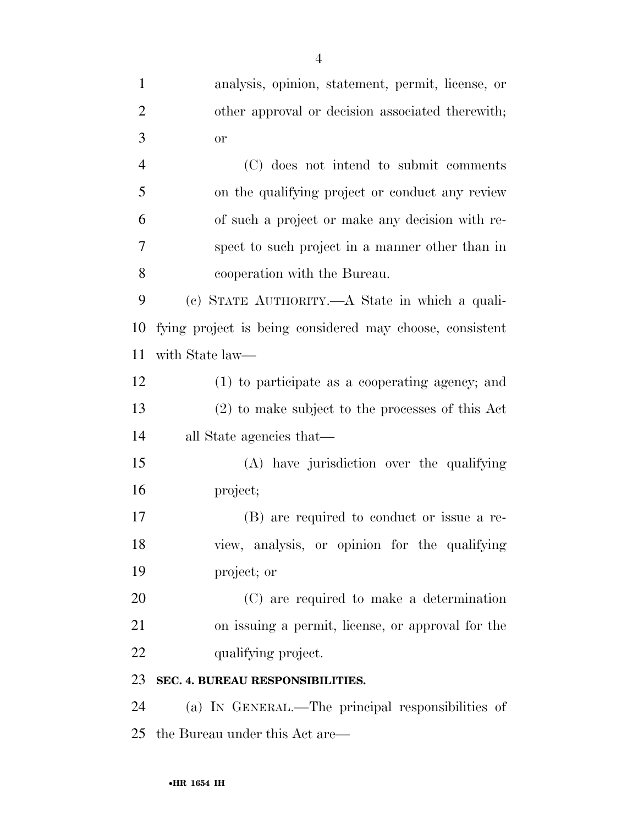| $\mathbf{1}$   | analysis, opinion, statement, permit, license, or        |
|----------------|----------------------------------------------------------|
| $\overline{2}$ | other approval or decision associated therewith;         |
| 3              | <b>or</b>                                                |
| $\overline{4}$ | (C) does not intend to submit comments                   |
| 5              | on the qualifying project or conduct any review          |
| 6              | of such a project or make any decision with re-          |
| 7              | spect to such project in a manner other than in          |
| 8              | cooperation with the Bureau.                             |
| 9              | (c) STATE AUTHORITY.—A State in which a quali-           |
| 10             | fying project is being considered may choose, consistent |
| 11             | with State law—                                          |
| 12             | (1) to participate as a cooperating agency; and          |
| 13             | $(2)$ to make subject to the processes of this Act       |
| 14             | all State agencies that—                                 |
| 15             | (A) have jurisdiction over the qualifying                |
| 16             | project;                                                 |
| 17             | (B) are required to conduct or issue a re-               |
| 18             | view, analysis, or opinion for the qualifying            |
| 19             | project; or                                              |
| 20             | (C) are required to make a determination                 |
| 21             | on issuing a permit, license, or approval for the        |
| 22             | qualifying project.                                      |
| 23             | SEC. 4. BUREAU RESPONSIBILITIES.                         |
| 24             | (a) IN GENERAL.—The principal responsibilities of        |
|                |                                                          |

the Bureau under this Act are—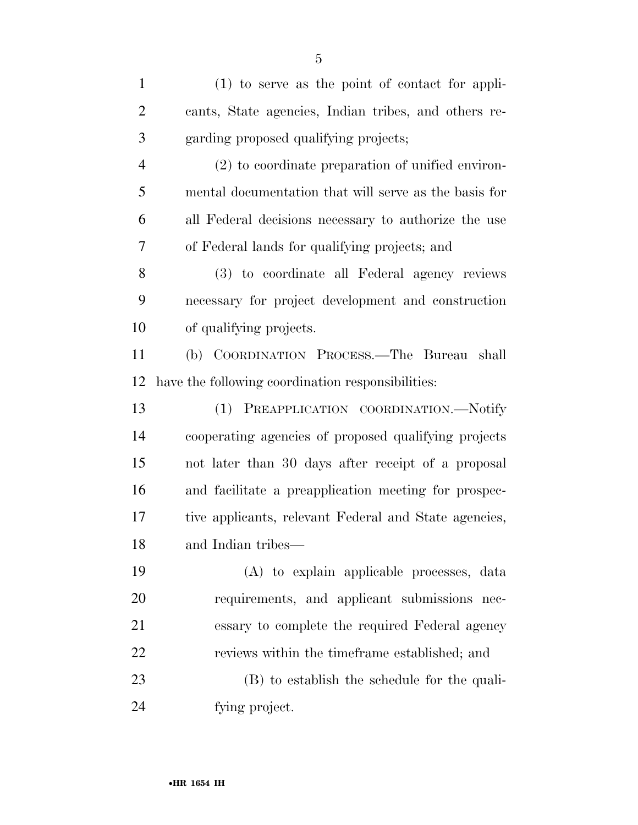(1) to serve as the point of contact for appli- cants, State agencies, Indian tribes, and others re- garding proposed qualifying projects; (2) to coordinate preparation of unified environ- mental documentation that will serve as the basis for all Federal decisions necessary to authorize the use of Federal lands for qualifying projects; and (3) to coordinate all Federal agency reviews necessary for project development and construction of qualifying projects. (b) COORDINATION PROCESS.—The Bureau shall have the following coordination responsibilities: (1) PREAPPLICATION COORDINATION.—Notify cooperating agencies of proposed qualifying projects not later than 30 days after receipt of a proposal and facilitate a preapplication meeting for prospec- tive applicants, relevant Federal and State agencies, and Indian tribes— (A) to explain applicable processes, data requirements, and applicant submissions nec- essary to complete the required Federal agency reviews within the timeframe established; and (B) to establish the schedule for the quali-fying project.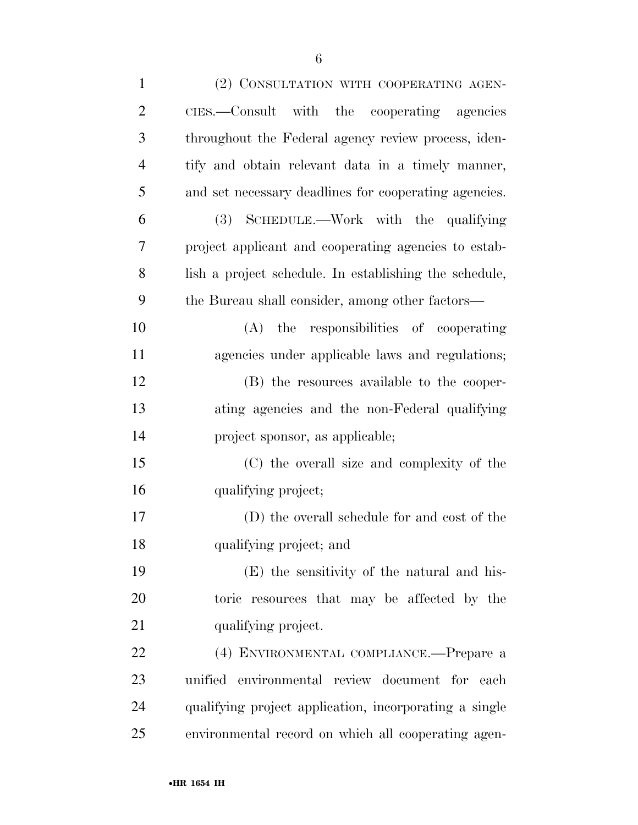| $\mathbf{1}$   | (2) CONSULTATION WITH COOPERATING AGEN-                |
|----------------|--------------------------------------------------------|
| $\overline{2}$ | CIES.—Consult with the cooperating agencies            |
| 3              | throughout the Federal agency review process, iden-    |
| 4              | tify and obtain relevant data in a timely manner,      |
| 5              | and set necessary deadlines for cooperating agencies.  |
| 6              | (3) SCHEDULE.—Work with the qualifying                 |
| 7              | project applicant and cooperating agencies to estab-   |
| 8              | lish a project schedule. In establishing the schedule, |
| 9              | the Bureau shall consider, among other factors—        |
| 10             | (A) the responsibilities of cooperating                |
| 11             | agencies under applicable laws and regulations;        |
| 12             | (B) the resources available to the cooper-             |
| 13             | ating agencies and the non-Federal qualifying          |
| 14             | project sponsor, as applicable;                        |
| 15             | (C) the overall size and complexity of the             |
| 16             | qualifying project;                                    |
| 17             | (D) the overall schedule for and cost of the           |
| 18             | qualifying project; and                                |
| 19             | (E) the sensitivity of the natural and his-            |
| 20             | toric resources that may be affected by the            |
| 21             | qualifying project.                                    |
| 22             | (4) ENVIRONMENTAL COMPLIANCE.-Prepare a                |
| 23             | unified environmental review document for each         |
| 24             | qualifying project application, incorporating a single |
| 25             | environmental record on which all cooperating agen-    |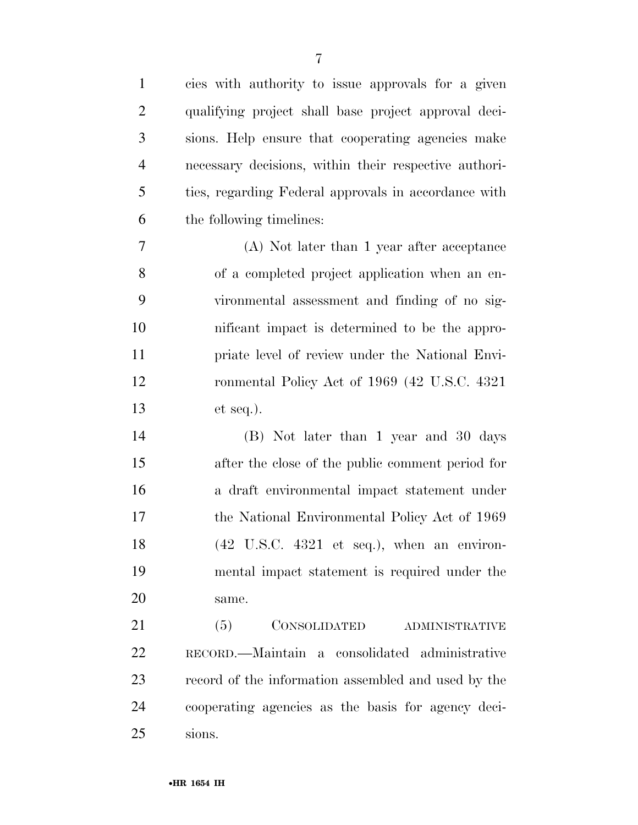| $\mathbf{1}$   | cies with authority to issue approvals for a given    |
|----------------|-------------------------------------------------------|
| $\overline{2}$ | qualifying project shall base project approval deci-  |
| 3              | sions. Help ensure that cooperating agencies make     |
| $\overline{4}$ | necessary decisions, within their respective authori- |
| 5              | ties, regarding Federal approvals in accordance with  |
| 6              | the following timelines:                              |
| 7              | (A) Not later than 1 year after acceptance            |
| 8              | of a completed project application when an en-        |
| 9              | vironmental assessment and finding of no sig-         |
| 10             | nificant impact is determined to be the appro-        |
| 11             | priate level of review under the National Envi-       |
| 12             | ronmental Policy Act of 1969 (42 U.S.C. 4321)         |
| 13             | $et seq.$ ).                                          |
| 14             | (B) Not later than 1 year and 30 days                 |
| 15             | after the close of the public comment period for      |
| 16             | a draft environmental impact statement under          |
| 17             | the National Environmental Policy Act of 1969         |
| 18             | $(42 \tU.S.C. 4321 \tet seq.), when an environ-$      |
| 19             | mental impact statement is required under the         |
| 20             | same.                                                 |
| 21             | CONSOLIDATED<br>(5)<br>ADMINISTRATIVE                 |
| 22             | RECORD.—Maintain a consolidated administrative        |
| 23             | record of the information assembled and used by the   |
| 24             | cooperating agencies as the basis for agency deci-    |
| 25             | sions.                                                |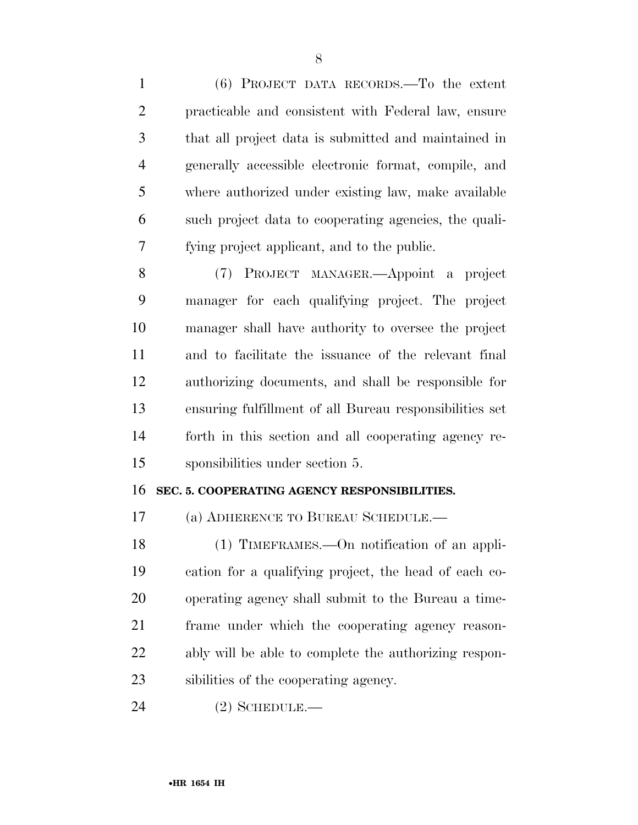(6) PROJECT DATA RECORDS.—To the extent practicable and consistent with Federal law, ensure that all project data is submitted and maintained in generally accessible electronic format, compile, and where authorized under existing law, make available such project data to cooperating agencies, the quali-fying project applicant, and to the public.

 (7) PROJECT MANAGER.—Appoint a project manager for each qualifying project. The project manager shall have authority to oversee the project and to facilitate the issuance of the relevant final authorizing documents, and shall be responsible for ensuring fulfillment of all Bureau responsibilities set forth in this section and all cooperating agency re-sponsibilities under section 5.

#### **SEC. 5. COOPERATING AGENCY RESPONSIBILITIES.**

(a) ADHERENCE TO BUREAU SCHEDULE.—

 (1) TIMEFRAMES.—On notification of an appli- cation for a qualifying project, the head of each co- operating agency shall submit to the Bureau a time- frame under which the cooperating agency reason- ably will be able to complete the authorizing respon-sibilities of the cooperating agency.

(2) SCHEDULE.—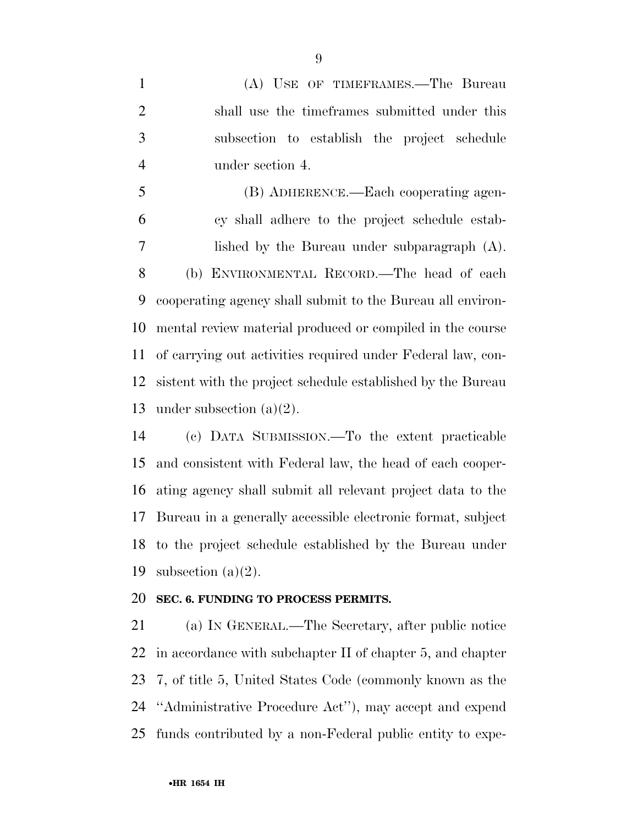(A) USE OF TIMEFRAMES.—The Bureau shall use the timeframes submitted under this subsection to establish the project schedule under section 4.

 (B) ADHERENCE.—Each cooperating agen- cy shall adhere to the project schedule estab- lished by the Bureau under subparagraph (A). (b) ENVIRONMENTAL RECORD.—The head of each cooperating agency shall submit to the Bureau all environ- mental review material produced or compiled in the course of carrying out activities required under Federal law, con- sistent with the project schedule established by the Bureau under subsection (a)(2).

 (c) DATA SUBMISSION.—To the extent practicable and consistent with Federal law, the head of each cooper- ating agency shall submit all relevant project data to the Bureau in a generally accessible electronic format, subject to the project schedule established by the Bureau under 19 subsection  $(a)(2)$ .

#### **SEC. 6. FUNDING TO PROCESS PERMITS.**

 (a) IN GENERAL.—The Secretary, after public notice in accordance with subchapter II of chapter 5, and chapter 7, of title 5, United States Code (commonly known as the ''Administrative Procedure Act''), may accept and expend funds contributed by a non-Federal public entity to expe-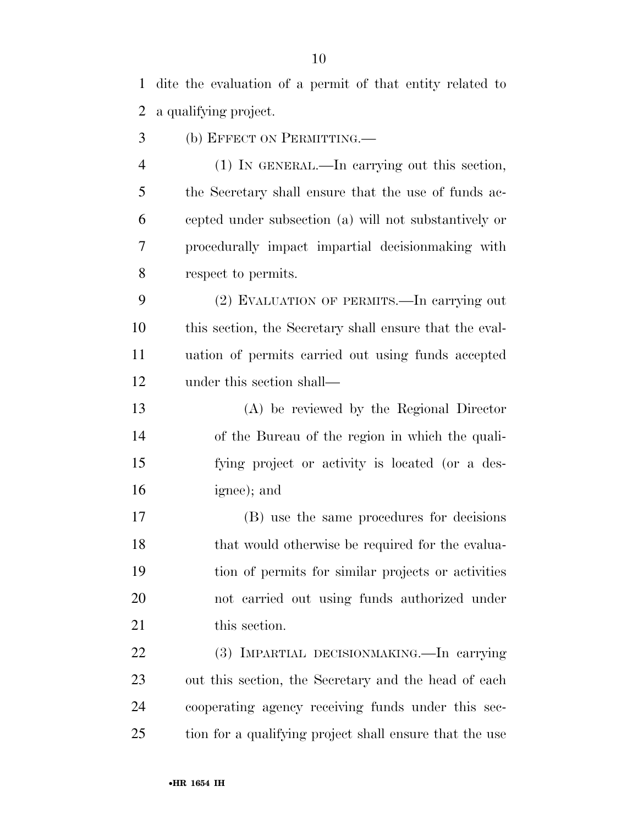dite the evaluation of a permit of that entity related to a qualifying project.

(b) EFFECT ON PERMITTING.—

 (1) IN GENERAL.—In carrying out this section, the Secretary shall ensure that the use of funds ac- cepted under subsection (a) will not substantively or procedurally impact impartial decisionmaking with respect to permits.

 (2) EVALUATION OF PERMITS.—In carrying out this section, the Secretary shall ensure that the eval- uation of permits carried out using funds accepted under this section shall—

 (A) be reviewed by the Regional Director of the Bureau of the region in which the quali- fying project or activity is located (or a des-ignee); and

 (B) use the same procedures for decisions 18 that would otherwise be required for the evalua- tion of permits for similar projects or activities not carried out using funds authorized under 21 this section.

 (3) IMPARTIAL DECISIONMAKING.—In carrying out this section, the Secretary and the head of each cooperating agency receiving funds under this sec-tion for a qualifying project shall ensure that the use